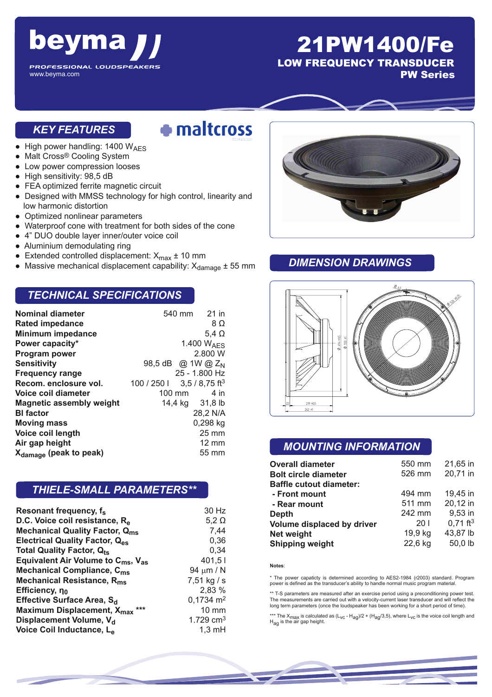

www.beyma.com

## 21PW1400/Fe

LOW FREQUENCY TRANSDUCER

PW Series

#### *KEY FEATURES*

## · maltcross

- $\bullet$  High power handling: 1400 W<sub>AES</sub>
- Malt Cross® Cooling System
- Low power compression looses
- High sensitivity: 98,5 dB
- FEA optimized ferrite magnetic circuit
- Designed with MMSS technology for high control, linearity and low harmonic distortion
- Optimized nonlinear parameters
- Waterproof cone with treatment for both sides of the cone
- 4" DUO double layer inner/outer voice coil
- Aluminium demodulating ring
- Extended controlled displacement:  $X_{\text{max}} \pm 10 \text{ mm}$
- Massive mechanical displacement capability:  $X_{\text{damage}} \pm 55 \text{ mm}$

#### *TECHNICAL SPECIFICATIONS*

| <b>Nominal diameter</b>            |                                            | 540 mm 21 in           |
|------------------------------------|--------------------------------------------|------------------------|
| <b>Rated impedance</b>             |                                            | 8Ω                     |
| <b>Minimum impedance</b>           |                                            | $5.4 \Omega$           |
| Power capacity*                    |                                            | 1.400 W <sub>AFS</sub> |
| Program power                      |                                            | 2.800 W                |
| <b>Sensitivity</b>                 | 98,5 dB @ 1W @ Z <sub>N</sub>              |                        |
| <b>Frequency range</b>             |                                            | 25 - 1.800 Hz          |
| Recom. enclosure vol.              | $100 / 250$   $3.5 / 8.75$ ft <sup>3</sup> |                        |
| Voice coil diameter                | $100 \text{ mm}$                           | 4 in                   |
| <b>Magnetic assembly weight</b>    |                                            | 14,4 kg 31,8 lb        |
| <b>BI</b> factor                   |                                            | 28,2 N/A               |
| <b>Moving mass</b>                 |                                            | 0,298 kg               |
| Voice coil length                  |                                            | $25 \text{ mm}$        |
| Air gap height                     |                                            | $12 \text{ mm}$        |
| X <sub>damage</sub> (peak to peak) |                                            | 55 mm                  |

#### *THIELE-SMALL PARAMETERS\*\**

| Resonant frequency, f <sub>s</sub>                         | 30 Hz                |
|------------------------------------------------------------|----------------------|
| D.C. Voice coil resistance, R <sub>e</sub>                 | $5,2 \Omega$         |
| <b>Mechanical Quality Factor, Qms</b>                      | 7,44                 |
| <b>Electrical Quality Factor, Q<sub>es</sub></b>           | 0,36                 |
| <b>Total Quality Factor, Qts</b>                           | 0.34                 |
| Equivalent Air Volume to $C_{\text{ms}}$ , $V_{\text{as}}$ | 401,51               |
| <b>Mechanical Compliance, C<sub>ms</sub></b>               | 94 $\mu$ m / N       |
| Mechanical Resistance, R <sub>ms</sub>                     | 7,51 kg / s          |
| Efficiency, $\eta_0$                                       | 2,83 %               |
| Effective Surface Area, S <sub>d</sub>                     | $0,1734 \text{ m}^2$ |
| Maximum Displacement, X <sub>max</sub> ***                 | $10 \text{ mm}$      |
| Displacement Volume, V <sub>d</sub>                        | 1.729 $cm3$          |
| Voice Coil Inductance, L <sub>e</sub>                      | $1,3 \text{ mH}$     |



#### *DIMENSION DRAWINGS*



#### *MOUNTING INFORMATION*

| <b>Overall diameter</b>        | 550 mm  | 21,65 in               |
|--------------------------------|---------|------------------------|
| <b>Bolt circle diameter</b>    | 526 mm  | 20,71 in               |
| <b>Baffle cutout diameter:</b> |         |                        |
| - Front mount                  | 494 mm  | 19,45 in               |
| - Rear mount                   | 511 mm  | 20,12 in               |
| Depth                          | 242 mm  | 9,53 in                |
| Volume displaced by driver     | 201     | $0,71$ ft <sup>3</sup> |
| Net weight                     | 19,9 kg | 43,87 lb               |
| <b>Shipping weight</b>         | 22,6 kg | 50,0 lb                |

**Notes**:

\* The power capaticty is determined according to AES2-1984 (r2003) standard. Program power is defined as the transducer's ability to handle normal music program material.

\*\* T-S parameters are measured after an exercise period using a preconditioning power test. The measurements are carried out with a velocity-current laser transducer and will reflect the long term parameters (once the loudspeaker has been working for a short period of time).

\*\*\* The X<sub>max</sub> is calculated as (L<sub>VC</sub> - H<sub>ag</sub>)/2 + (H<sub>ag</sub>/3,5), where L<sub>VC</sub> is the voice coil length and<br>H<sub>ag</sub> is the air gap height.